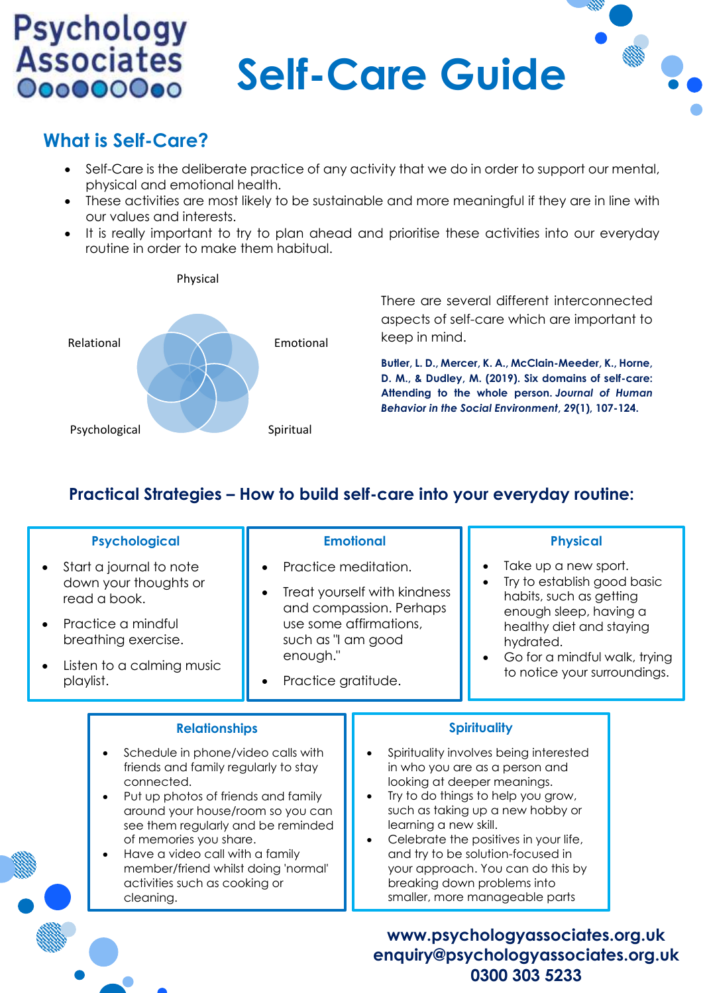# **Self-Care Guide**

#### **What is Self-Care?**

**Psychology**<br>Associates

000000000

- Self-Care is the deliberate practice of any activity that we do in order to support our mental, physical and emotional health.
- These activities are most likely to be sustainable and more meaningful if they are in line with our values and interests.
- It is really important to try to plan ahead and prioritise these activities into our everyday routine in order to make them habitual.



There are several different interconnected aspects of self-care which are important to keep in mind.

**Butler, L. D., Mercer, K. A., McClain-Meeder, K., Horne, D. M., & Dudley, M. (2019). Six domains of self-care: Attending to the whole person.** *Journal of Human Behavior in the Social Environment***,** *29***(1), 107-124.**

#### **Practical Strategies – How to build self-care into your everyday routine:**

| <b>Psychological</b><br>Start a journal to note<br>down your thoughts or<br>read a book.<br>Practice a mindful<br>breathing exercise.<br>Listen to a calming music<br>playlist.                                                                                                                                                                                                      | <b>Emotional</b><br>Practice meditation.<br>Treat yourself with kindness<br>and compassion. Perhaps<br>use some affirmations,<br>such as "I am good<br>enough."<br>Practice gratitude. |                                                                                                                                                                                                                                                                                                                                                                                                                                                          | <b>Physical</b><br>Take up a new sport.<br>Try to establish good basic<br>habits, such as getting<br>enough sleep, having a<br>healthy diet and staying<br>hydrated.<br>Go for a mindful walk, trying<br>to notice your surroundings. |  |
|--------------------------------------------------------------------------------------------------------------------------------------------------------------------------------------------------------------------------------------------------------------------------------------------------------------------------------------------------------------------------------------|----------------------------------------------------------------------------------------------------------------------------------------------------------------------------------------|----------------------------------------------------------------------------------------------------------------------------------------------------------------------------------------------------------------------------------------------------------------------------------------------------------------------------------------------------------------------------------------------------------------------------------------------------------|---------------------------------------------------------------------------------------------------------------------------------------------------------------------------------------------------------------------------------------|--|
| <b>Relationships</b><br>Schedule in phone/video calls with<br>friends and family regularly to stay<br>connected.<br>Put up photos of friends and family<br>around your house/room so you can<br>see them regularly and be reminded<br>of memories you share.<br>Have a video call with a family<br>member/friend whilst doing 'normal'<br>activities such as cooking or<br>cleaning. |                                                                                                                                                                                        | <b>Spirituality</b><br>Spirituality involves being interested<br>in who you are as a person and<br>looking at deeper meanings.<br>Try to do things to help you grow,<br>such as taking up a new hobby or<br>learning a new skill.<br>Celebrate the positives in your life,<br>and try to be solution-focused in<br>your approach. You can do this by<br>breaking down problems into<br>smaller, more manageable parts<br>www.psychologyassociates.org.uk |                                                                                                                                                                                                                                       |  |

**0300 303 5233**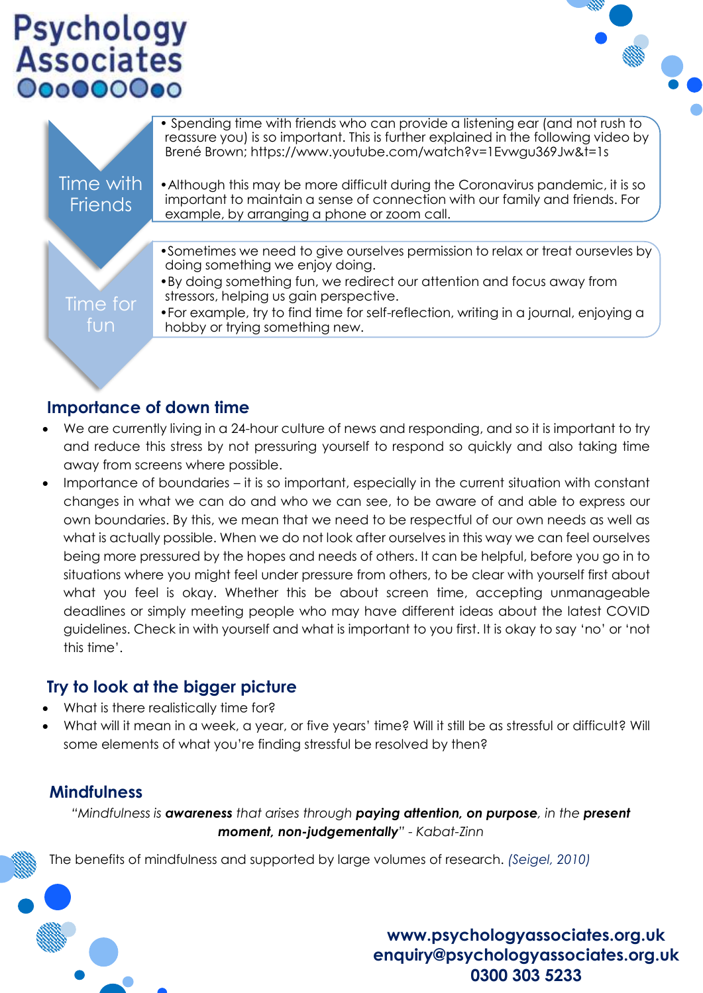## **Psychology**<br>Associates 000000000



|                             | • Spending time with friends who can provide a listening ear (and not rush to<br>reassure you) is so important. This is further explained in the following video by<br>Brené Brown; https://www.youtube.com/watch?v=1Evwgu369Jw&t=1s |
|-----------------------------|--------------------------------------------------------------------------------------------------------------------------------------------------------------------------------------------------------------------------------------|
| Time with<br><b>Friends</b> | • Although this may be more difficult during the Coronavirus pandemic, it is so<br>important to maintain a sense of connection with our family and friends. For<br>example, by arranging a phone or zoom call.                       |
|                             |                                                                                                                                                                                                                                      |
|                             | • Sometimes we need to give ourselves permission to relax or treat oursevles by<br>doing something we enjoy doing.                                                                                                                   |
|                             | •By doing something fun, we redirect our attention and focus away from<br>stressors, helping us gain perspective.                                                                                                                    |
| Time for<br>lfuni           | • For example, try to find time for self-reflection, writing in a journal, enjoying a<br>hobby or trying something new.                                                                                                              |
|                             |                                                                                                                                                                                                                                      |

#### **Importance of down time**

- We are currently living in a 24-hour culture of news and responding, and so it is important to try and reduce this stress by not pressuring yourself to respond so quickly and also taking time away from screens where possible.
- Importance of boundaries it is so important, especially in the current situation with constant changes in what we can do and who we can see, to be aware of and able to express our own boundaries. By this, we mean that we need to be respectful of our own needs as well as what is actually possible. When we do not look after ourselves in this way we can feel ourselves being more pressured by the hopes and needs of others. It can be helpful, before you go in to situations where you might feel under pressure from others, to be clear with yourself first about what you feel is okay. Whether this be about screen time, accepting unmanageable deadlines or simply meeting people who may have different ideas about the latest COVID guidelines. Check in with yourself and what is important to you first. It is okay to say 'no' or 'not this time'.

#### **Try to look at the bigger picture**

- What is there realistically time for?
- What will it mean in a week, a year, or five years' time? Will it still be as stressful or difficult? Will some elements of what you're finding stressful be resolved by then?

#### **Mindfulness**

*"Mindfulness is awareness that arises through paying attention, on purpose, in the present moment, non-judgementally" - Kabat-Zinn*

The benefits of mindfulness and supported by large volumes of research. *(Seigel, 2010)*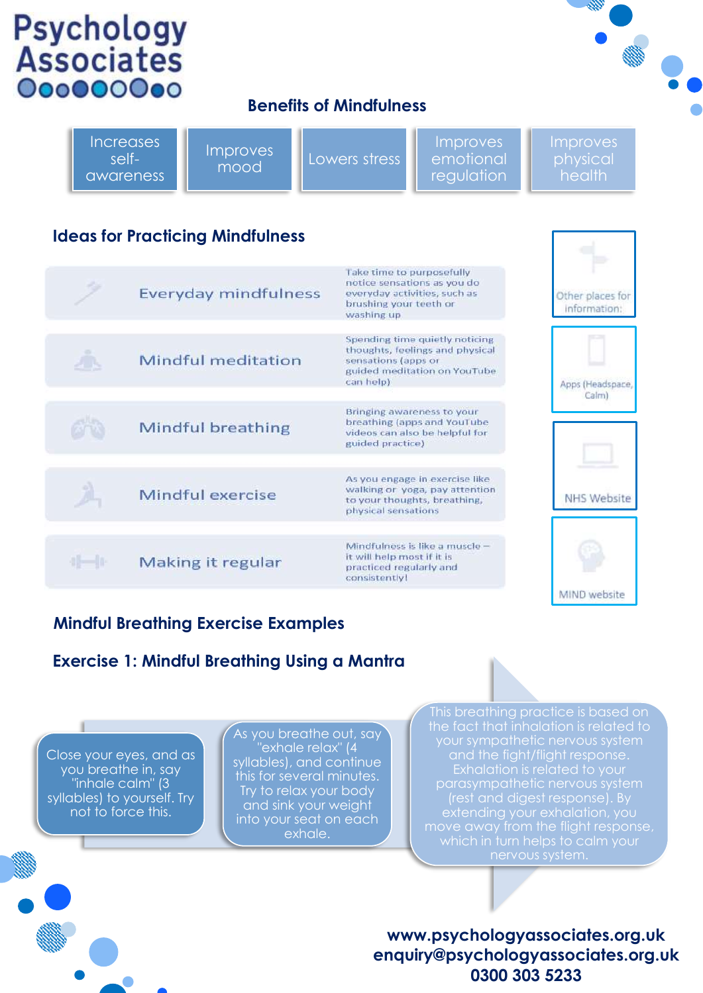## **Psychology**<br>Associates 000000000

#### **Benefits of Mindfulness**

|    | <b>Increases</b><br><b>Improves</b><br>self-<br>mood<br>awareness | Improves<br>Lowers stress<br>emotional<br>regulation                                                                                  | Improves<br>physical<br>health   |
|----|-------------------------------------------------------------------|---------------------------------------------------------------------------------------------------------------------------------------|----------------------------------|
|    | <b>Ideas for Practicing Mindfulness</b>                           |                                                                                                                                       |                                  |
|    | <b>Everyday mindfulness</b>                                       | Take time to purposefully<br>notice sensations as you do<br>everyday activities, such as<br>brushing your teeth or<br>washing up      | Other places for<br>information: |
| л. | Mindful meditation                                                | Spending time quietly noticing<br>thoughts, feelings and physical<br>sensations (apps or<br>guided meditation on YouTube<br>can help) | Apps (Headspace,                 |
|    | <b>Mindful breathing</b>                                          | Bringing awareness to your<br>breathing (apps and YouTube<br>videos can also be helpful for<br>guided practice)                       | Calm)                            |
|    | Mindful exercise                                                  | As you engage in exercise like<br>walking or yoga, pay attention<br>to your thoughts, breathing,<br>physical sensations               | <b>NHS Website</b>               |
|    | Making it regular                                                 | Mindfulness is like a muscle -<br>it will help most if it is<br>practiced regularly and<br>concictority                               |                                  |

#### **Mindful Breathing Exercise Examples**

#### **Exercise 1: Mindful Breathing Using a Mantra**

Close your eyes, and as you breathe in, say "inhale calm" (3 syllables) to yourself. Try not to force this.

As you breathe out, say 'exhale relax" (4 syllables), and continue this for several minutes. Try to relax your body and sink your weight into your seat on each exhale.

and the fight/flight response. (rest and digest response). By move away from the flight response,

MIND website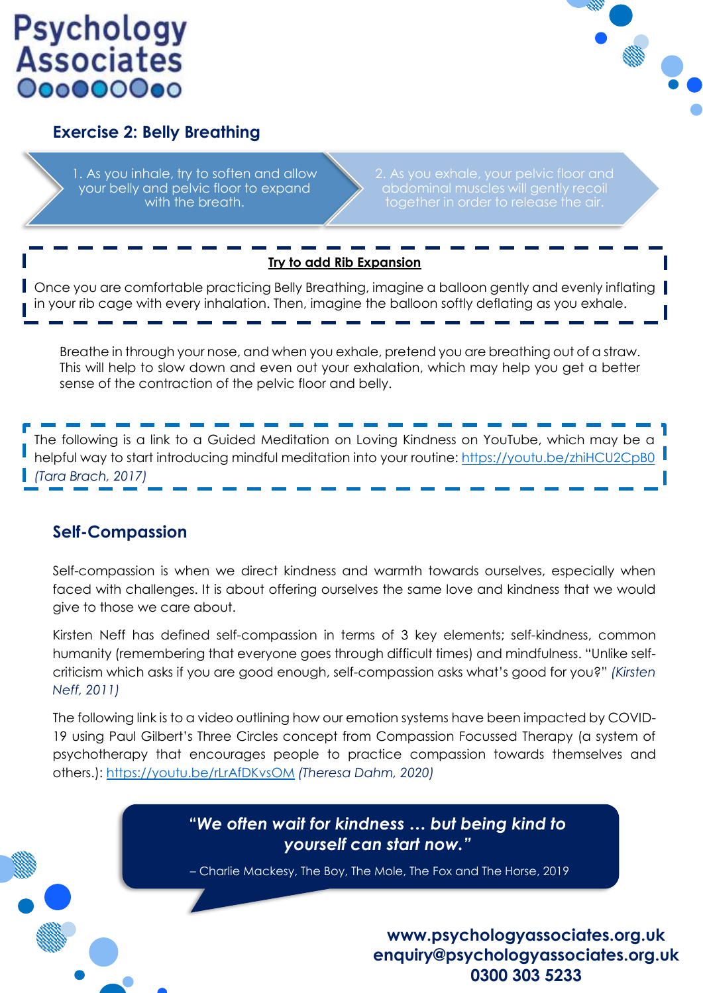### **Psychology Associates** 000000000



#### **Exercise 2: Belly Breathing**

1. As you inhale, try to soften and allow your belly and pelvic floor to expand with the breath.

abdominal muscles will gently recoil together in order to release the air.

#### **Try to add Rib Expansion**

Once you are comfortable practicing Belly Breathing, imagine a balloon gently and evenly inflating in your rib cage with every inhalation. Then, imagine the balloon softly deflating as you exhale.

Breathe in through your nose, and when you exhale, pretend you are breathing out of a straw. This will help to slow down and even out your exhalation, which may help you get a better sense of the contraction of the pelvic floor and belly.

The following is a link to a Guided Meditation on Loving Kindness on YouTube, which may be a helpful way to start introducing mindful meditation into your routine:<https://youtu.be/zhiHCU2CpB0> *(Tara Brach, 2017)*

#### **Self-Compassion**

Self-compassion is when we direct kindness and warmth towards ourselves, especially when faced with challenges. It is about offering ourselves the same love and kindness that we would give to those we care about.

Kirsten Neff has defined self-compassion in terms of 3 key elements; self-kindness, common humanity (remembering that everyone goes through difficult times) and mindfulness. "Unlike selfcriticism which asks if you are good enough, self-compassion asks what's good for you?" *(Kirsten Neff, 2011)*

The following link is to a video outlining how our emotion systems have been impacted by COVID-19 using Paul Gilbert's Three Circles concept from Compassion Focussed Therapy (a system of psychotherapy that encourages people to practice compassion towards themselves and others.):<https://youtu.be/rLrAfDKvsOM> *(Theresa Dahm, 2020)*

> **"***We often wait for kindness … but being kind to yourself can start now."*

> – Charlie Mackesy, The Boy, The Mole, The Fox and The Horse, 2019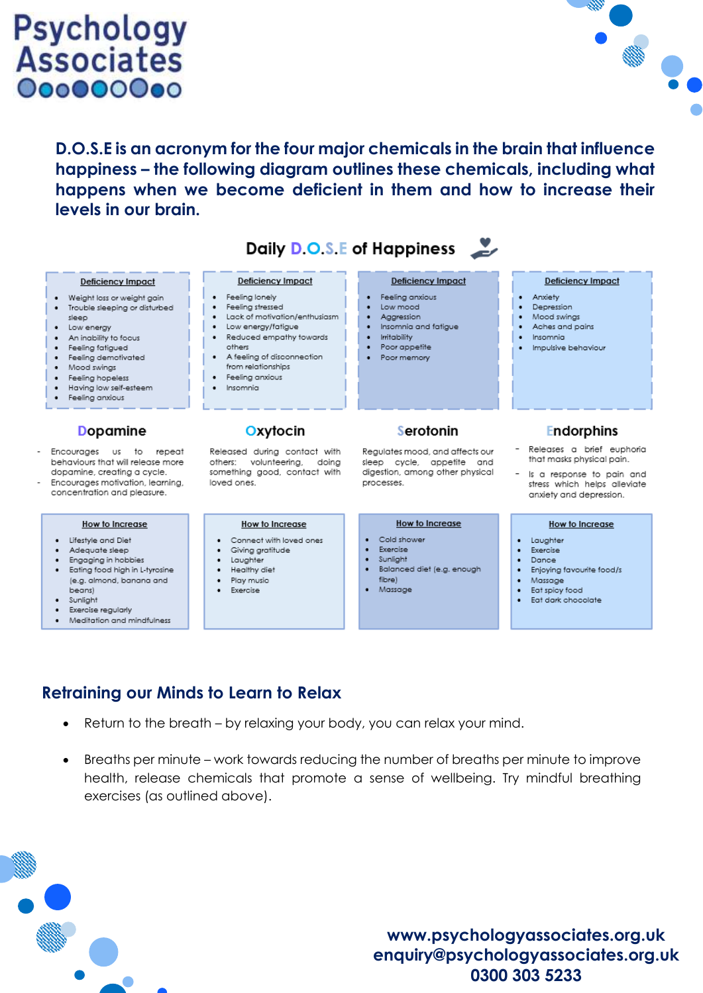### **Psychology**<br>Associates 000000000



**D.O.S.E is an acronym for the four major chemicals in the brain that influence happiness – the following diagram outlines these chemicals, including what happens when we become deficient in them and how to increase their levels in our brain.** 

|                                                                                                                                                                                                                                                             |                                                                                                                                                                                                                                                                | Daily D.O.S.E of Happiness                                                                                                                           |                                                                                                                                                |
|-------------------------------------------------------------------------------------------------------------------------------------------------------------------------------------------------------------------------------------------------------------|----------------------------------------------------------------------------------------------------------------------------------------------------------------------------------------------------------------------------------------------------------------|------------------------------------------------------------------------------------------------------------------------------------------------------|------------------------------------------------------------------------------------------------------------------------------------------------|
| Deficiency Impact<br>Weight loss or weight gain<br>Trouble sleeping or disturbed<br>sleep<br>Low energy<br>An inability to focus<br>Feeling fatigued<br>Feeling demotivated<br>Mood swings<br>Feeling hopeless<br>Having low self-esteem<br>Feeling anxious | <b>Deficiency Impact</b><br>Feeling lonely<br>٠<br>Feeling stressed<br>Lack of motivation/enthusiasm<br>Low energy/fatigue<br>Reduced empathy towards<br>٠<br>others<br>• A feeling of disconnection<br>from relationships<br>Feeling anxious<br>Insomnia<br>٠ | <b>Deficiency Impact</b><br>Feeling anxious<br>Low mood<br>Aggression<br>Insomnia and fatigue<br><b>Irritability</b><br>Poor appetite<br>Poor memory | <b>Deficiency Impact</b><br>· Anxiety<br>Depression<br>Mood swings<br>Aches and pains<br>Insomnia<br>Impulsive behaviour                       |
| <b>Dopamine</b>                                                                                                                                                                                                                                             | Oxytocin                                                                                                                                                                                                                                                       | Serotonin                                                                                                                                            | <b>Endorphins</b>                                                                                                                              |
| Encourages us to repeat<br>behaviours that will release more<br>dopamine, creating a cycle.<br>Encourages motivation, learning,<br>concentration and pleasure.                                                                                              | Released during contact with<br>volunteering,<br>others:<br>doing<br>something good, contact with<br>loved ones.                                                                                                                                               | Regulates mood, and affects our<br>sleep cycle, appetite and<br>digestion, among other physical<br>processes.                                        | Releases a brief euphoria<br>that masks physical pain.<br>Is a response to pain and<br>stress which helps alleviate<br>anxiety and depression. |
| How to Increase<br>Lifestyle and Diet<br>Adequate sleep<br>Engaging in hobbies<br>.                                                                                                                                                                         | How to Increase<br>Connect with loved ones<br>Giving gratitude<br>Laughter<br><b>A Report Follows</b> (1980) 1977                                                                                                                                              | How to Increase<br>Cold shower<br>Exercise<br>Sunlight<br>Designation of affect the contexts                                                         | How to Increase<br>Laughter<br>٠<br>Exercise<br>Dance<br><b>P. M. M. M. M. M. M. M. M. M. M. M. M.</b>                                         |

- ating food high in L-tyrosine (e.g. almond, banana and beans)
- Sunlight
- Exercise regularly
- Meditation and mindfulness
- Healthy die: Play music  $\bullet$ 
	- Exercise
- fibre)
- Massage
- 
- Enjoying favourite food/s
- Massage  $\bullet$
- Eat spicy food  $\bullet$
- Eat dark chocolate

#### **Retraining our Minds to Learn to Relax**

- Return to the breath by relaxing your body, you can relax your mind.
- Breaths per minute work towards reducing the number of breaths per minute to improve health, release chemicals that promote a sense of wellbeing. Try mindful breathing exercises (as outlined above).

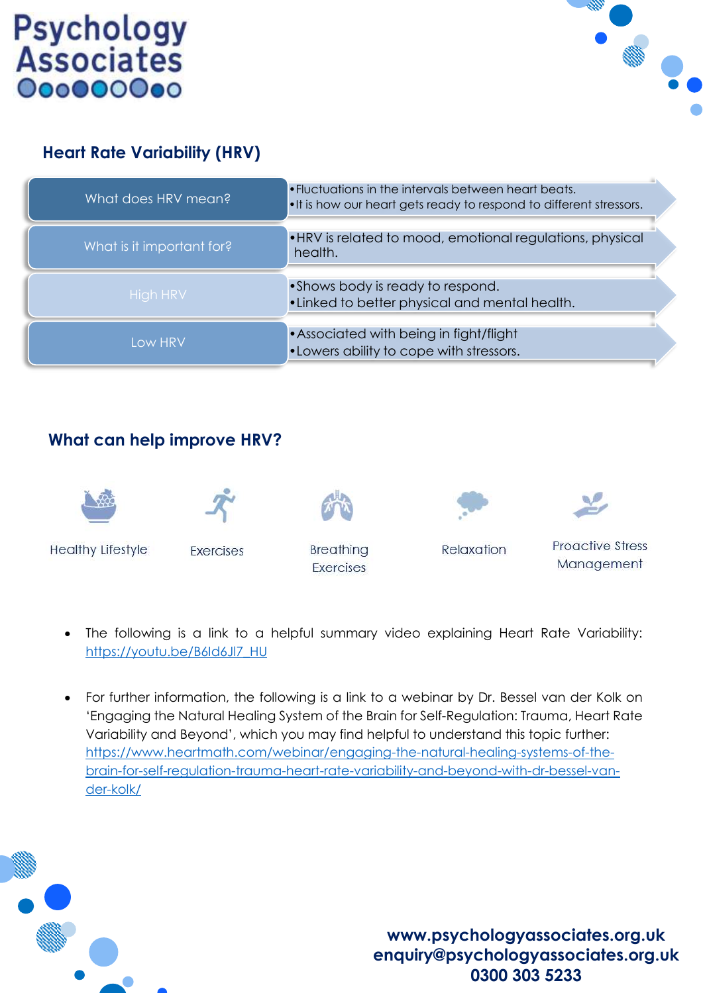



#### **Heart Rate Variability (HRV)**

| What does HRV mean?       | . Fluctuations in the intervals between heart beats.<br>. It is how our heart gets ready to respond to different stressors. |
|---------------------------|-----------------------------------------------------------------------------------------------------------------------------|
| What is it important for? | • HRV is related to mood, emotional regulations, physical<br>health.                                                        |
| <b>High HRV</b>           | • Shows body is ready to respond.<br>• Linked to better physical and mental health.                                         |
| <b>Low HRV</b>            | • Associated with being in fight/flight<br>. Lowers ability to cope with stressors.                                         |

#### **What can help improve HRV?**











**Healthy Lifestyle** 

**Exercises** 

**Breathing Exercises** 

Relaxation

**Proactive Stress** Management

- The following is a link to a helpful summary video explaining Heart Rate Variability: [https://youtu.be/B6Id6Jl7\\_HU](https://youtu.be/B6Id6Jl7_HU)
- For further information, the following is a link to a webinar by Dr. Bessel van der Kolk on 'Engaging the Natural Healing System of the Brain for Self-Regulation: Trauma, Heart Rate Variability and Beyond', which you may find helpful to understand this topic further: [https://www.heartmath.com/webinar/engaging-the-natural-healing-systems-of-the](https://www.heartmath.com/webinar/engaging-the-natural-healing-systems-of-the-brain-for-self-regulation-trauma-heart-rate-variability-and-beyond-with-dr-bessel-van-der-kolk/)[brain-for-self-regulation-trauma-heart-rate-variability-and-beyond-with-dr-bessel-van](https://www.heartmath.com/webinar/engaging-the-natural-healing-systems-of-the-brain-for-self-regulation-trauma-heart-rate-variability-and-beyond-with-dr-bessel-van-der-kolk/)[der-kolk/](https://www.heartmath.com/webinar/engaging-the-natural-healing-systems-of-the-brain-for-self-regulation-trauma-heart-rate-variability-and-beyond-with-dr-bessel-van-der-kolk/)